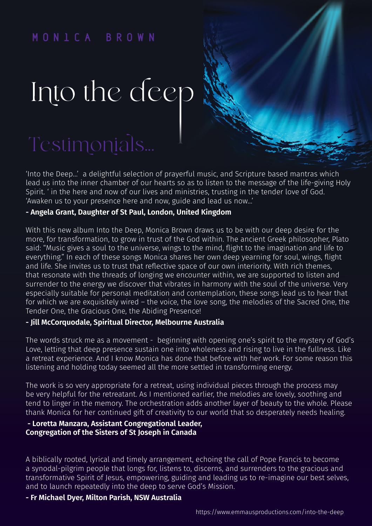## MONICA BROWN

# Into the deep

'Into the Deep…' a delightful selection of prayerful music, and Scripture based mantras which lead us into the inner chamber of our hearts so as to listen to the message of the life-giving Holy Spirit. ' in the here and now of our lives and ministries, trusting in the tender love of God. 'Awaken us to your presence here and now, guide and lead us now…'

#### **- Angela Grant, Daughter of St Paul, London, United Kingdom**

With this new album Into the Deep, Monica Brown draws us to be with our deep desire for the more, for transformation, to grow in trust of the God within. The ancient Greek philosopher, Plato said: "Music gives a soul to the universe, wings to the mind, flight to the imagination and life to everything." In each of these songs Monica shares her own deep yearning for soul, wings, flight and life. She invites us to trust that reflective space of our own interiority. With rich themes, that resonate with the threads of longing we encounter within, we are supported to listen and surrender to the energy we discover that vibrates in harmony with the soul of the universe. Very especially suitable for personal meditation and contemplation, these songs lead us to hear that for which we are exquisitely wired – the voice, the love song, the melodies of the Sacred One, the Tender One, the Gracious One, the Abiding Presence!

#### **- Jill McCorquodale, Spiritual Director, Melbourne Australia**

The words struck me as a movement - beginning with opening one's spirit to the mystery of God's Love, letting that deep presence sustain one into wholeness and rising to live in the fullness. Like a retreat experience. And I know Monica has done that before with her work. For some reason this listening and holding today seemed all the more settled in transforming energy.

The work is so very appropriate for a retreat, using individual pieces through the process may be very helpful for the retreatant. As I mentioned earlier, the melodies are lovely, soothing and tend to linger in the memory. The orchestration adds another layer of beauty to the whole. Please thank Monica for her continued gift of creativity to our world that so desperately needs healing.

#### **- Loretta Manzara, Assistant Congregational Leader, Congregation of the Sisters of St Joseph in Canada**

A biblically rooted, lyrical and timely arrangement, echoing the call of Pope Francis to become a synodal-pilgrim people that longs for, listens to, discerns, and surrenders to the gracious and transformative Spirit of Jesus, empowering, guiding and leading us to re-imagine our best selves, and to launch repeatedly into the deep to serve God's Mission.

#### **- Fr Michael Dyer, Milton Parish, NSW Australia**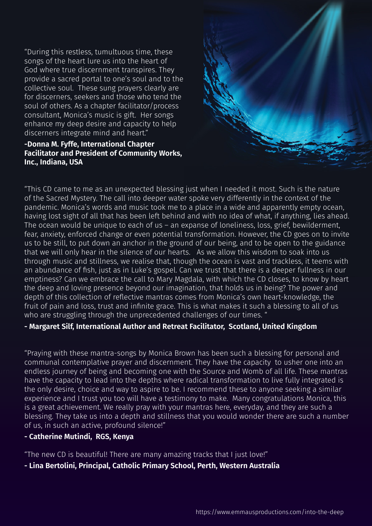"During this restless, tumultuous time, these songs of the heart lure us into the heart of God where true discernment transpires. They provide a sacred portal to one's soul and to the collective soul. These sung prayers clearly are for discerners, seekers and those who tend the soul of others. As a chapter facilitator/process consultant, Monica's music is gift. Her songs enhance my deep desire and capacity to help discerners integrate mind and heart."

#### **-Donna M. Fyffe, International Chapter Facilitator and President of Community Works, Inc., Indiana, USA**



"This CD came to me as an unexpected blessing just when I needed it most. Such is the nature of the Sacred Mystery. The call into deeper water spoke very differently in the context of the pandemic. Monica's words and music took me to a place in a wide and apparently empty ocean, having lost sight of all that has been left behind and with no idea of what, if anything, lies ahead. The ocean would be unique to each of us – an expanse of loneliness, loss, grief, bewilderment, fear, anxiety, enforced change or even potential transformation. However, the CD goes on to invite us to be still, to put down an anchor in the ground of our being, and to be open to the guidance that we will only hear in the silence of our hearts. As we allow this wisdom to soak into us through music and stillness, we realise that, though the ocean is vast and trackless, it teems with an abundance of fish, just as in Luke's gospel. Can we trust that there is a deeper fullness in our emptiness? Can we embrace the call to Mary Magdala, with which the CD closes, to know by heart the deep and loving presence beyond our imagination, that holds us in being? The power and depth of this collection of reflective mantras comes from Monica's own heart-knowledge, the fruit of pain and loss, trust and infinite grace. This is what makes it such a blessing to all of us who are struggling through the unprecedented challenges of our times. "

### **- Margaret Silf, International Author and Retreat Facilitator, Scotland, United Kingdom**

"Praying with these mantra-songs by Monica Brown has been such a blessing for personal and communal contemplative prayer and discernment. They have the capacity to usher one into an endless journey of being and becoming one with the Source and Womb of all life. These mantras have the capacity to lead into the depths where radical transformation to live fully integrated is the only desire, choice and way to aspire to be. I recommend these to anyone seeking a similar experience and I trust you too will have a testimony to make. Many congratulations Monica, this is a great achievement. We really pray with your mantras here, everyday, and they are such a blessing. They take us into a depth and stillness that you would wonder there are such a number of us, in such an active, profound silence!"

#### **- Catherine Mutindi, RGS, Kenya**

"The new CD is beautiful! There are many amazing tracks that I just love!"

### **- Lina Bertolini, Principal, Catholic Primary School, Perth, Western Australia**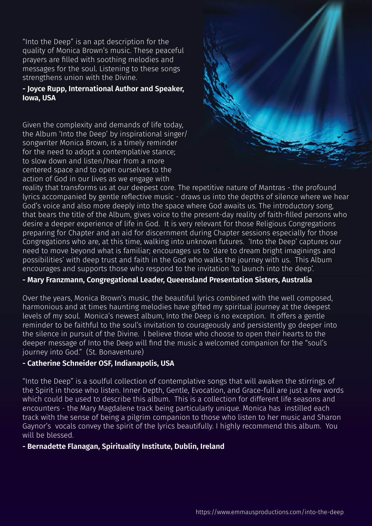"Into the Deep" is an apt description for the quality of Monica Brown's music. These peaceful prayers are filled with soothing melodies and messages for the soul. Listening to these songs strengthens union with the Divine.

#### **- Joyce Rupp, International Author and Speaker, Iowa, USA**

Given the complexity and demands of life today, the Album 'Into the Deep' by inspirational singer/ songwriter Monica Brown, is a timely reminder for the need to adopt a contemplative stance; to slow down and listen/hear from a more centered space and to open ourselves to the action of God in our lives as we engage with



reality that transforms us at our deepest core. The repetitive nature of Mantras - the profound lyrics accompanied by gentle reflective music - draws us into the depths of silence where we hear God's voice and also more deeply into the space where God awaits us. The introductory song, that bears the title of the Album, gives voice to the present-day reality of faith-filled persons who desire a deeper experience of life in God. It is very relevant for those Religious Congregations preparing for Chapter and an aid for discernment during Chapter sessions especially for those Congregations who are, at this time, walking into unknown futures. 'Into the Deep' captures our need to move beyond what is familiar; encourages us to 'dare to dream bright imaginings and possibilities' with deep trust and faith in the God who walks the journey with us. This Album encourages and supports those who respond to the invitation 'to launch into the deep'.

### **- Mary Franzmann, Congregational Leader, Queensland Presentation Sisters, Australia**

Over the years, Monica Brown's music, the beautiful lyrics combined with the well composed, harmonious and at times haunting melodies have gifted my spiritual journey at the deepest levels of my soul. Monica's newest album, Into the Deep is no exception. It offers a gentle reminder to be faithful to the soul's invitation to courageously and persistently go deeper into the silence in pursuit of the Divine. I believe those who choose to open their hearts to the deeper message of Into the Deep will find the music a welcomed companion for the "soul's journey into God." (St. Bonaventure)

#### **- Catherine Schneider OSF, Indianapolis, USA**

"Into the Deep" is a soulful collection of contemplative songs that will awaken the stirrings of the Spirit in those who listen. Inner Depth, Gentle, Evocation, and Grace-full are just a few words which could be used to describe this album. This is a collection for different life seasons and encounters - the Mary Magdalene track being particularly unique. Monica has instilled each track with the sense of being a pilgrim companion to those who listen to her music and Sharon Gaynor's vocals convey the spirit of the lyrics beautifully. I highly recommend this album. You will be blessed.

#### **- Bernadette Flanagan, Spirituality Institute, Dublin, Ireland**